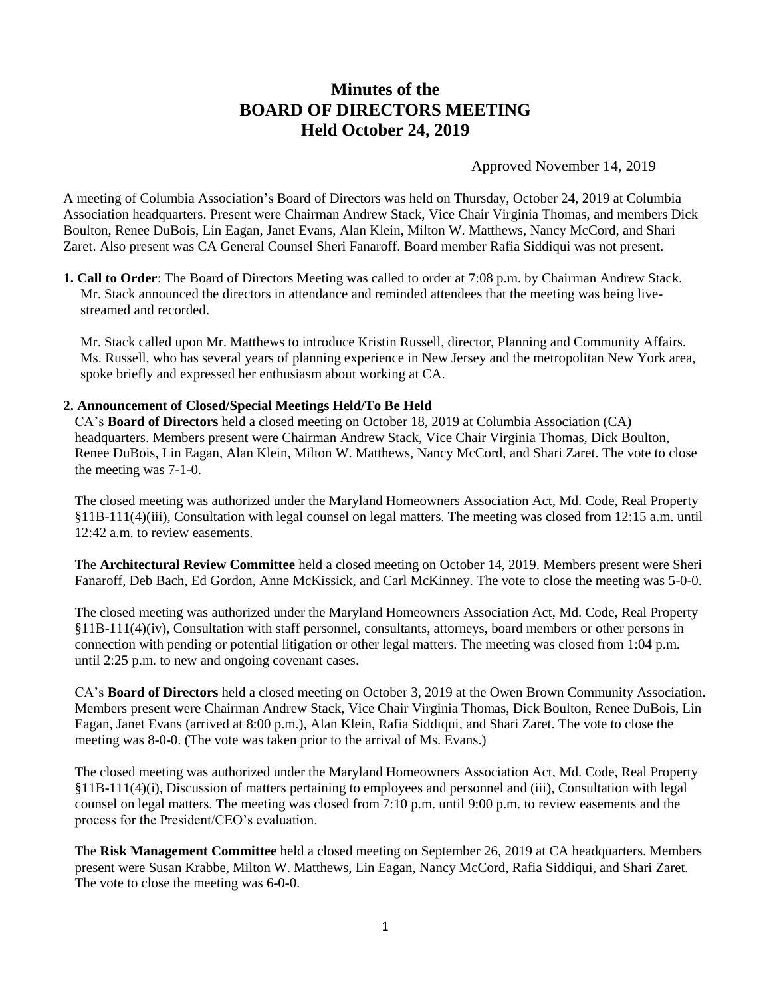# **Minutes of the BOARD OF DIRECTORS MEETING Held October 24, 2019**

Approved November 14, 2019

A meeting of Columbia Association's Board of Directors was held on Thursday, October 24, 2019 at Columbia Association headquarters. Present were Chairman Andrew Stack, Vice Chair Virginia Thomas, and members Dick Boulton, Renee DuBois, Lin Eagan, Janet Evans, Alan Klein, Milton W. Matthews, Nancy McCord, and Shari Zaret. Also present was CA General Counsel Sheri Fanaroff. Board member Rafia Siddiqui was not present.

**1. Call to Order**: The Board of Directors Meeting was called to order at 7:08 p.m. by Chairman Andrew Stack. Mr. Stack announced the directors in attendance and reminded attendees that the meeting was being livestreamed and recorded.

Mr. Stack called upon Mr. Matthews to introduce Kristin Russell, director, Planning and Community Affairs. Ms. Russell, who has several years of planning experience in New Jersey and the metropolitan New York area, spoke briefly and expressed her enthusiasm about working at CA.

#### **2. Announcement of Closed/Special Meetings Held/To Be Held**

CA's **Board of Directors** held a closed meeting on October 18, 2019 at Columbia Association (CA) headquarters. Members present were Chairman Andrew Stack, Vice Chair Virginia Thomas, Dick Boulton, Renee DuBois, Lin Eagan, Alan Klein, Milton W. Matthews, Nancy McCord, and Shari Zaret. The vote to close the meeting was 7-1-0.

The closed meeting was authorized under the Maryland Homeowners Association Act, Md. Code, Real Property §11B-111(4)(iii), Consultation with legal counsel on legal matters. The meeting was closed from 12:15 a.m. until 12:42 a.m. to review easements.

The **Architectural Review Committee** held a closed meeting on October 14, 2019. Members present were Sheri Fanaroff, Deb Bach, Ed Gordon, Anne McKissick, and Carl McKinney. The vote to close the meeting was 5-0-0.

The closed meeting was authorized under the Maryland Homeowners Association Act, Md. Code, Real Property §11B-111(4)(iv), Consultation with staff personnel, consultants, attorneys, board members or other persons in connection with pending or potential litigation or other legal matters. The meeting was closed from 1:04 p.m. until 2:25 p.m. to new and ongoing covenant cases.

CA's **Board of Directors** held a closed meeting on October 3, 2019 at the Owen Brown Community Association. Members present were Chairman Andrew Stack, Vice Chair Virginia Thomas, Dick Boulton, Renee DuBois, Lin Eagan, Janet Evans (arrived at 8:00 p.m.), Alan Klein, Rafia Siddiqui, and Shari Zaret. The vote to close the meeting was 8-0-0. (The vote was taken prior to the arrival of Ms. Evans.)

The closed meeting was authorized under the Maryland Homeowners Association Act, Md. Code, Real Property §11B-111(4)(i), Discussion of matters pertaining to employees and personnel and (iii), Consultation with legal counsel on legal matters. The meeting was closed from 7:10 p.m. until 9:00 p.m. to review easements and the process for the President/CEO's evaluation.

The **Risk Management Committee** held a closed meeting on September 26, 2019 at CA headquarters. Members present were Susan Krabbe, Milton W. Matthews, Lin Eagan, Nancy McCord, Rafia Siddiqui, and Shari Zaret. The vote to close the meeting was 6-0-0.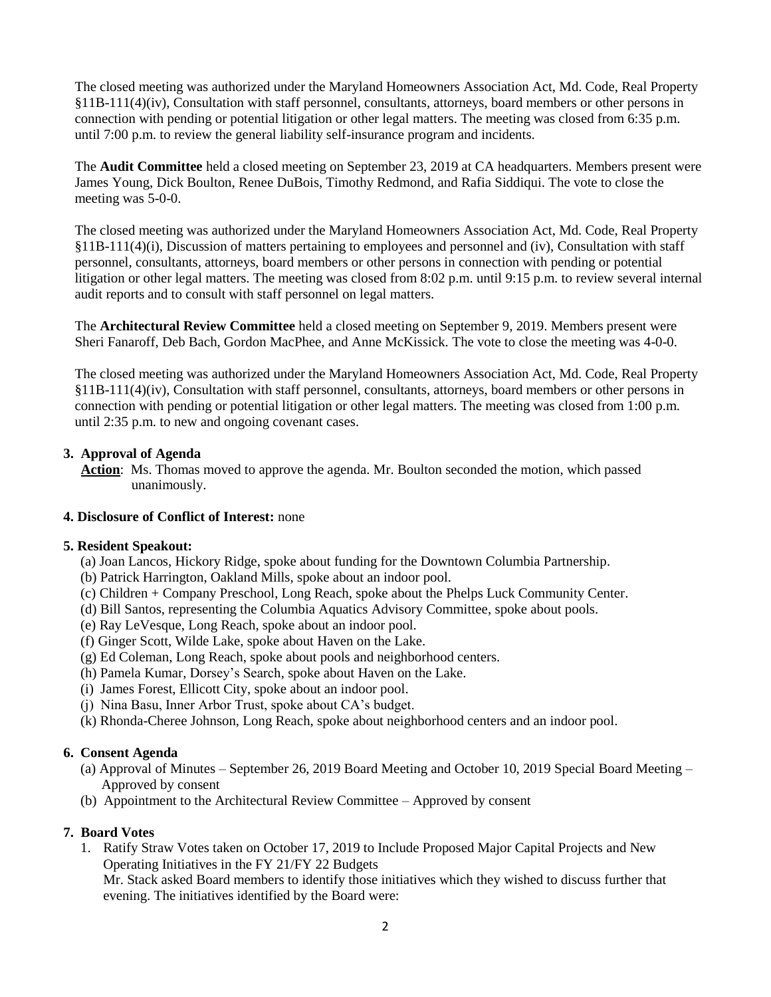The closed meeting was authorized under the Maryland Homeowners Association Act, Md. Code, Real Property §11B-111(4)(iv), Consultation with staff personnel, consultants, attorneys, board members or other persons in connection with pending or potential litigation or other legal matters. The meeting was closed from 6:35 p.m. until 7:00 p.m. to review the general liability self-insurance program and incidents.

The **Audit Committee** held a closed meeting on September 23, 2019 at CA headquarters. Members present were James Young, Dick Boulton, Renee DuBois, Timothy Redmond, and Rafia Siddiqui. The vote to close the meeting was 5-0-0.

The closed meeting was authorized under the Maryland Homeowners Association Act, Md. Code, Real Property §11B-111(4)(i), Discussion of matters pertaining to employees and personnel and (iv), Consultation with staff personnel, consultants, attorneys, board members or other persons in connection with pending or potential litigation or other legal matters. The meeting was closed from 8:02 p.m. until 9:15 p.m. to review several internal audit reports and to consult with staff personnel on legal matters.

The **Architectural Review Committee** held a closed meeting on September 9, 2019. Members present were Sheri Fanaroff, Deb Bach, Gordon MacPhee, and Anne McKissick. The vote to close the meeting was 4-0-0.

The closed meeting was authorized under the Maryland Homeowners Association Act, Md. Code, Real Property §11B-111(4)(iv), Consultation with staff personnel, consultants, attorneys, board members or other persons in connection with pending or potential litigation or other legal matters. The meeting was closed from 1:00 p.m. until 2:35 p.m. to new and ongoing covenant cases.

## **3. Approval of Agenda**

 **Action**: Ms. Thomas moved to approve the agenda. Mr. Boulton seconded the motion, which passed unanimously.

#### **4. Disclosure of Conflict of Interest:** none

#### **5. Resident Speakout:**

- (a) Joan Lancos, Hickory Ridge, spoke about funding for the Downtown Columbia Partnership.
- (b) Patrick Harrington, Oakland Mills, spoke about an indoor pool.
- (c) Children + Company Preschool, Long Reach, spoke about the Phelps Luck Community Center.
- (d) Bill Santos, representing the Columbia Aquatics Advisory Committee, spoke about pools.
- (e) Ray LeVesque, Long Reach, spoke about an indoor pool.
- (f) Ginger Scott, Wilde Lake, spoke about Haven on the Lake.
- (g) Ed Coleman, Long Reach, spoke about pools and neighborhood centers.
- (h) Pamela Kumar, Dorsey's Search, spoke about Haven on the Lake.
- (i) James Forest, Ellicott City, spoke about an indoor pool.
- (j) Nina Basu, Inner Arbor Trust, spoke about CA's budget.
- (k) Rhonda-Cheree Johnson, Long Reach, spoke about neighborhood centers and an indoor pool.

#### **6. Consent Agenda**

- (a) Approval of Minutes September 26, 2019 Board Meeting and October 10, 2019 Special Board Meeting Approved by consent
- (b) Appointment to the Architectural Review Committee Approved by consent

#### **7. Board Votes**

1. Ratify Straw Votes taken on October 17, 2019 to Include Proposed Major Capital Projects and New Operating Initiatives in the FY 21/FY 22 Budgets

Mr. Stack asked Board members to identify those initiatives which they wished to discuss further that evening. The initiatives identified by the Board were: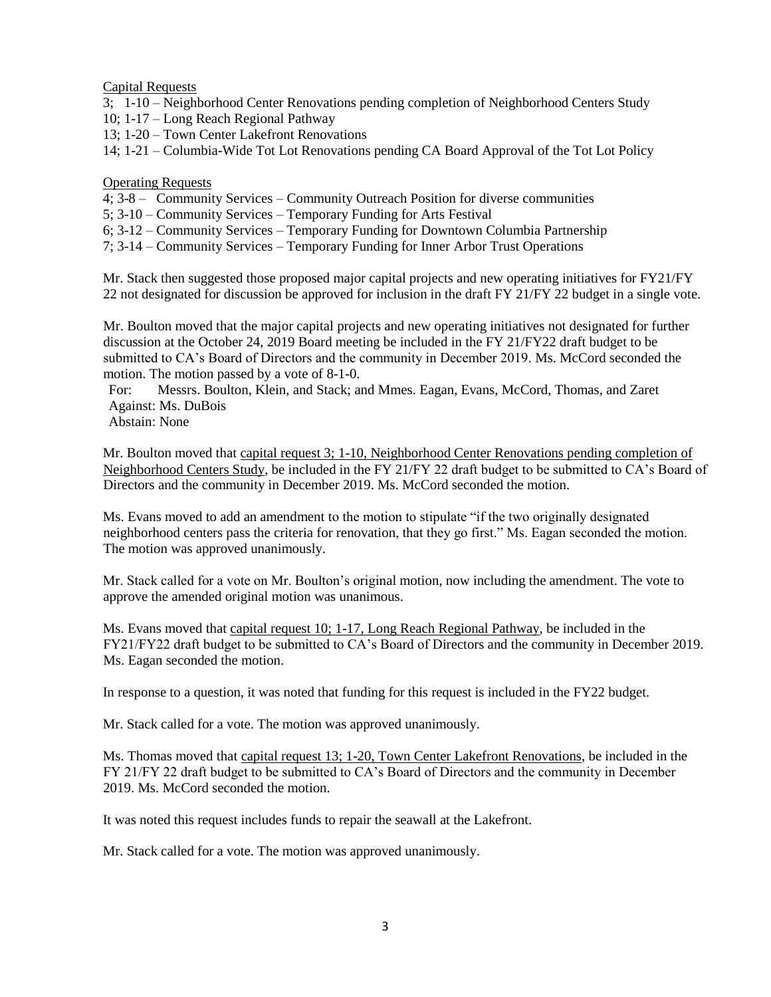Capital Requests

- 3; 1-10 Neighborhood Center Renovations pending completion of Neighborhood Centers Study
- 10; 1-17 Long Reach Regional Pathway
- 13; 1-20 Town Center Lakefront Renovations

14; 1-21 – Columbia-Wide Tot Lot Renovations pending CA Board Approval of the Tot Lot Policy

### Operating Requests

4; 3-8 – Community Services – Community Outreach Position for diverse communities

5; 3-10 – Community Services – Temporary Funding for Arts Festival

6; 3-12 – Community Services – Temporary Funding for Downtown Columbia Partnership

7; 3-14 – Community Services – Temporary Funding for Inner Arbor Trust Operations

Mr. Stack then suggested those proposed major capital projects and new operating initiatives for FY21/FY 22 not designated for discussion be approved for inclusion in the draft FY 21/FY 22 budget in a single vote.

Mr. Boulton moved that the major capital projects and new operating initiatives not designated for further discussion at the October 24, 2019 Board meeting be included in the FY 21/FY22 draft budget to be submitted to CA's Board of Directors and the community in December 2019. Ms. McCord seconded the motion. The motion passed by a vote of 8-1-0.

For: Messrs. Boulton, Klein, and Stack; and Mmes. Eagan, Evans, McCord, Thomas, and Zaret Against: Ms. DuBois

Abstain: None

Mr. Boulton moved that capital request 3; 1-10, Neighborhood Center Renovations pending completion of Neighborhood Centers Study, be included in the FY 21/FY 22 draft budget to be submitted to CA's Board of Directors and the community in December 2019. Ms. McCord seconded the motion.

Ms. Evans moved to add an amendment to the motion to stipulate "if the two originally designated neighborhood centers pass the criteria for renovation, that they go first." Ms. Eagan seconded the motion. The motion was approved unanimously.

Mr. Stack called for a vote on Mr. Boulton's original motion, now including the amendment. The vote to approve the amended original motion was unanimous.

Ms. Evans moved that capital request 10; 1-17, Long Reach Regional Pathway, be included in the FY21/FY22 draft budget to be submitted to CA's Board of Directors and the community in December 2019. Ms. Eagan seconded the motion.

In response to a question, it was noted that funding for this request is included in the FY22 budget.

Mr. Stack called for a vote. The motion was approved unanimously.

Ms. Thomas moved that capital request 13; 1-20, Town Center Lakefront Renovations, be included in the FY 21/FY 22 draft budget to be submitted to CA's Board of Directors and the community in December 2019. Ms. McCord seconded the motion.

It was noted this request includes funds to repair the seawall at the Lakefront.

Mr. Stack called for a vote. The motion was approved unanimously.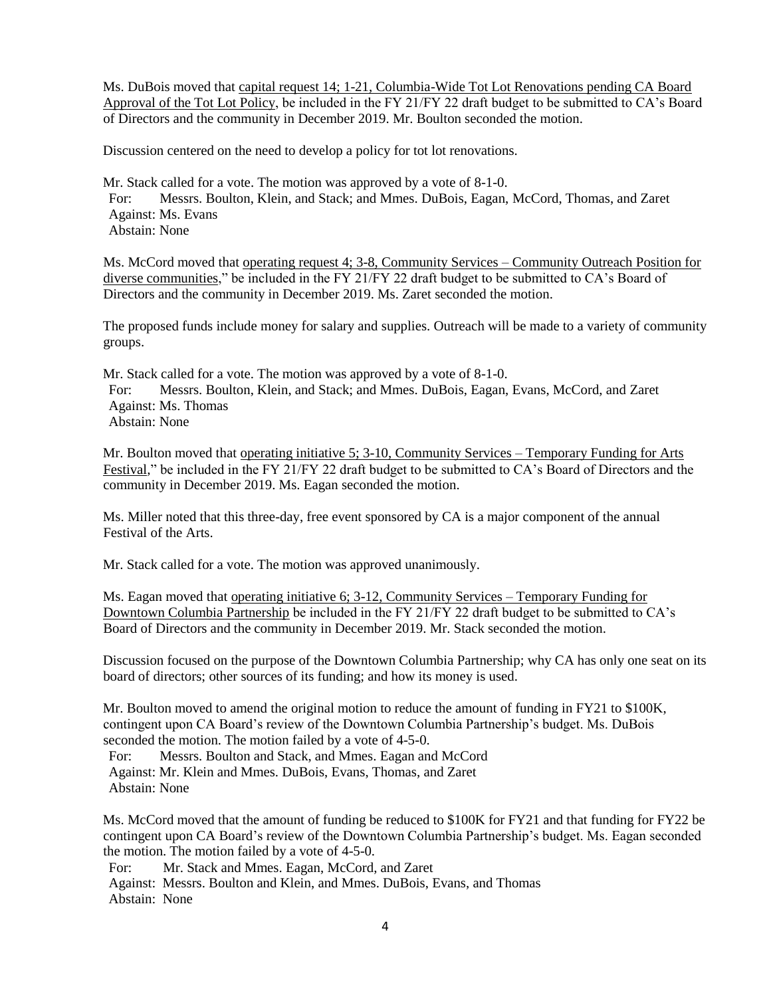Ms. DuBois moved that capital request 14; 1-21, Columbia-Wide Tot Lot Renovations pending CA Board Approval of the Tot Lot Policy, be included in the FY 21/FY 22 draft budget to be submitted to CA's Board of Directors and the community in December 2019. Mr. Boulton seconded the motion.

Discussion centered on the need to develop a policy for tot lot renovations.

Mr. Stack called for a vote. The motion was approved by a vote of 8-1-0. For: Messrs. Boulton, Klein, and Stack; and Mmes. DuBois, Eagan, McCord, Thomas, and Zaret Against: Ms. Evans Abstain: None

Ms. McCord moved that operating request 4; 3-8, Community Services – Community Outreach Position for diverse communities," be included in the FY 21/FY 22 draft budget to be submitted to CA's Board of Directors and the community in December 2019. Ms. Zaret seconded the motion.

The proposed funds include money for salary and supplies. Outreach will be made to a variety of community groups.

Mr. Stack called for a vote. The motion was approved by a vote of 8-1-0. For: Messrs. Boulton, Klein, and Stack; and Mmes. DuBois, Eagan, Evans, McCord, and Zaret Against: Ms. Thomas Abstain: None

Mr. Boulton moved that <u>operating initiative 5; 3-10</u>, Community Services – Temporary Funding for Arts Festival*,*" be included in the FY 21/FY 22 draft budget to be submitted to CA's Board of Directors and the community in December 2019. Ms. Eagan seconded the motion.

Ms. Miller noted that this three-day, free event sponsored by CA is a major component of the annual Festival of the Arts.

Mr. Stack called for a vote. The motion was approved unanimously.

Ms. Eagan moved that operating initiative 6; 3-12, Community Services – Temporary Funding for Downtown Columbia Partnership be included in the FY 21/FY 22 draft budget to be submitted to CA's Board of Directors and the community in December 2019. Mr. Stack seconded the motion.

Discussion focused on the purpose of the Downtown Columbia Partnership; why CA has only one seat on its board of directors; other sources of its funding; and how its money is used.

Mr. Boulton moved to amend the original motion to reduce the amount of funding in FY21 to \$100K, contingent upon CA Board's review of the Downtown Columbia Partnership's budget. Ms. DuBois seconded the motion. The motion failed by a vote of 4-5-0.

For: Messrs. Boulton and Stack, and Mmes. Eagan and McCord Against: Mr. Klein and Mmes. DuBois, Evans, Thomas, and Zaret Abstain: None

Ms. McCord moved that the amount of funding be reduced to \$100K for FY21 and that funding for FY22 be contingent upon CA Board's review of the Downtown Columbia Partnership's budget. Ms. Eagan seconded the motion. The motion failed by a vote of 4-5-0.

For: Mr. Stack and Mmes. Eagan, McCord, and Zaret

Against: Messrs. Boulton and Klein, and Mmes. DuBois, Evans, and Thomas Abstain: None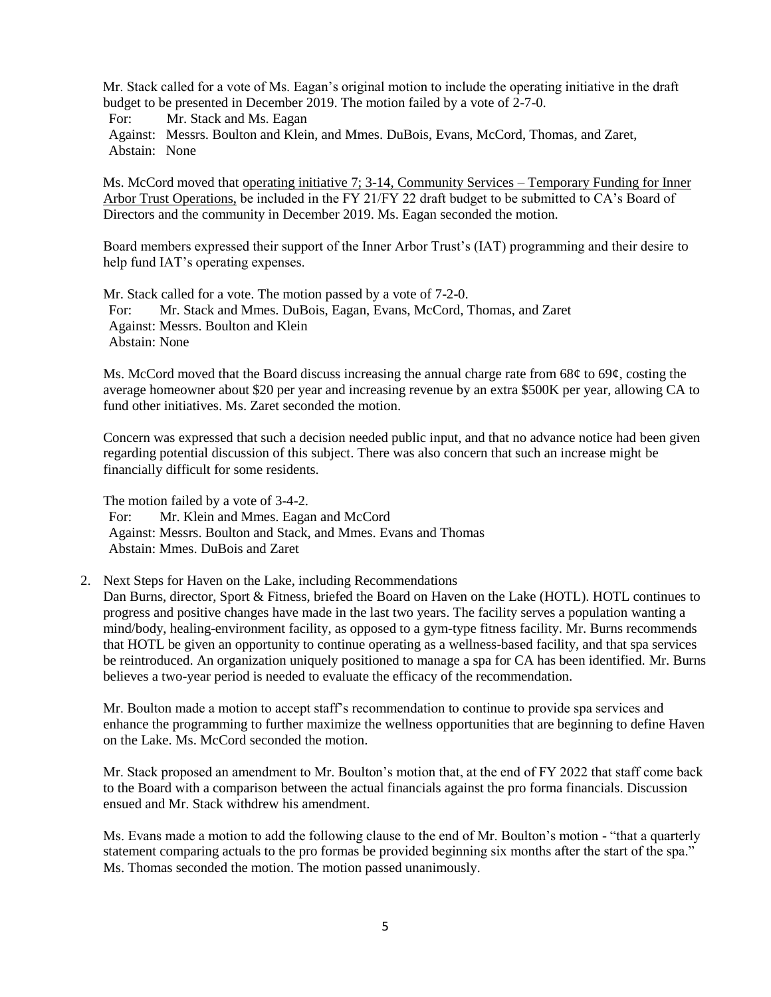Mr. Stack called for a vote of Ms. Eagan's original motion to include the operating initiative in the draft budget to be presented in December 2019. The motion failed by a vote of 2-7-0.

For: Mr. Stack and Ms. Eagan

Against: Messrs. Boulton and Klein, and Mmes. DuBois, Evans, McCord, Thomas, and Zaret, Abstain: None

Ms. McCord moved that operating initiative 7; 3-14, Community Services – Temporary Funding for Inner Arbor Trust Operations, be included in the FY 21/FY 22 draft budget to be submitted to CA's Board of Directors and the community in December 2019. Ms. Eagan seconded the motion.

Board members expressed their support of the Inner Arbor Trust's (IAT) programming and their desire to help fund IAT's operating expenses.

Mr. Stack called for a vote. The motion passed by a vote of 7-2-0. For: Mr. Stack and Mmes. DuBois, Eagan, Evans, McCord, Thomas, and Zaret Against: Messrs. Boulton and Klein Abstain: None

Ms. McCord moved that the Board discuss increasing the annual charge rate from 68¢ to 69¢, costing the average homeowner about \$20 per year and increasing revenue by an extra \$500K per year, allowing CA to fund other initiatives. Ms. Zaret seconded the motion.

Concern was expressed that such a decision needed public input, and that no advance notice had been given regarding potential discussion of this subject. There was also concern that such an increase might be financially difficult for some residents.

The motion failed by a vote of 3-4-2. For: Mr. Klein and Mmes. Eagan and McCord Against: Messrs. Boulton and Stack, and Mmes. Evans and Thomas Abstain: Mmes. DuBois and Zaret

2. Next Steps for Haven on the Lake, including Recommendations

Dan Burns, director, Sport & Fitness, briefed the Board on Haven on the Lake (HOTL). HOTL continues to progress and positive changes have made in the last two years. The facility serves a population wanting a mind/body, healing-environment facility, as opposed to a gym-type fitness facility. Mr. Burns recommends that HOTL be given an opportunity to continue operating as a wellness-based facility, and that spa services be reintroduced. An organization uniquely positioned to manage a spa for CA has been identified. Mr. Burns believes a two-year period is needed to evaluate the efficacy of the recommendation.

Mr. Boulton made a motion to accept staff's recommendation to continue to provide spa services and enhance the programming to further maximize the wellness opportunities that are beginning to define Haven on the Lake. Ms. McCord seconded the motion.

Mr. Stack proposed an amendment to Mr. Boulton's motion that, at the end of FY 2022 that staff come back to the Board with a comparison between the actual financials against the pro forma financials. Discussion ensued and Mr. Stack withdrew his amendment.

Ms. Evans made a motion to add the following clause to the end of Mr. Boulton's motion - "that a quarterly statement comparing actuals to the pro formas be provided beginning six months after the start of the spa." Ms. Thomas seconded the motion. The motion passed unanimously.